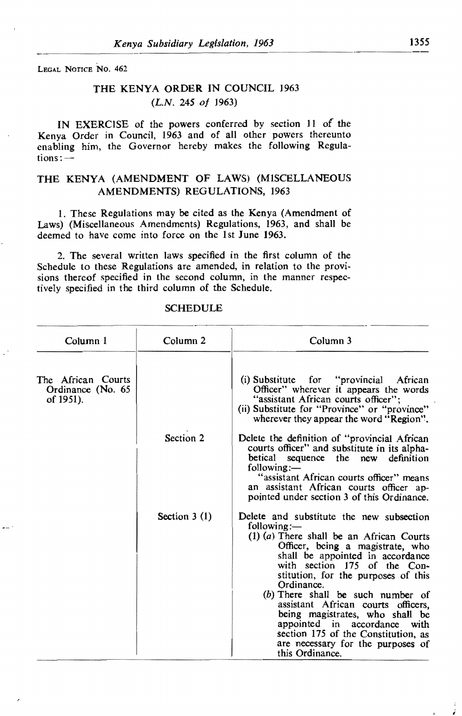LEGAL NOTICE No. 462

 $\overline{a}$ 

## THE KENYA ORDER IN COUNCIL 1963 *(L.N.* 245 of *1963)*

IN EXERCISE of the powers conferred by section 11 of the Kenya Order in Council, 1963 and of all other powers thereunto enabling him, the Governor hereby makes the following Regulations:

## THE KENYA (AMENDMENT OF LAWS) (MISCELLANEOUS AMENDMENTS) REGULATIONS, 1963

1. These Regulations may be cited as the Kenya (Amendment of Laws) (Miscellaneous Amendments) Regulations, 1963, and shall be deemed to have come into force on the 1st June 1963.

2. The several written laws specified in the first column of the Schedule to these Regulations are amended, in relation to the provi. sions thereof specified in the second column, in the manner respectively specified in the third column of the Schedule.

| Column 1                                             | Column <sub>2</sub> | Column 3                                                                                                                                                                                                                                                                                                                                                                                                                                                                                                             |
|------------------------------------------------------|---------------------|----------------------------------------------------------------------------------------------------------------------------------------------------------------------------------------------------------------------------------------------------------------------------------------------------------------------------------------------------------------------------------------------------------------------------------------------------------------------------------------------------------------------|
| The African Courts<br>Ordinance (No. 65<br>of 1951). |                     | (i) Substitute for "provincial"<br>African<br>Officer" wherever it appears the words<br>"assistant African courts officer";<br>(ii) Substitute for "Province" or "province"<br>wherever they appear the word "Region".                                                                                                                                                                                                                                                                                               |
|                                                      | Section 2           | Delete the definition of "provincial African"<br>courts officer" and substitute in its alpha-<br>betical<br>sequence the new definition<br>following:—<br>"assistant African courts officer" means<br>an assistant African courts officer ap-<br>pointed under section 3 of this Ordinance.                                                                                                                                                                                                                          |
|                                                      | Section $3(1)$      | Delete and substitute the new subsection<br>following:—<br>$(1)$ (a) There shall be an African Courts<br>Officer, being a magistrate, who<br>shall be appointed in accordance<br>with section 175 of the Con-<br>stitution, for the purposes of this<br>Ordinance.<br>$(b)$ There shall be such number of<br>assistant African courts officers,<br>being magistrates, who shall be<br>appointed in accordance<br>with<br>section 175 of the Constitution, as<br>are necessary for the purposes of<br>this Ordinance. |

## **SCHEDULE**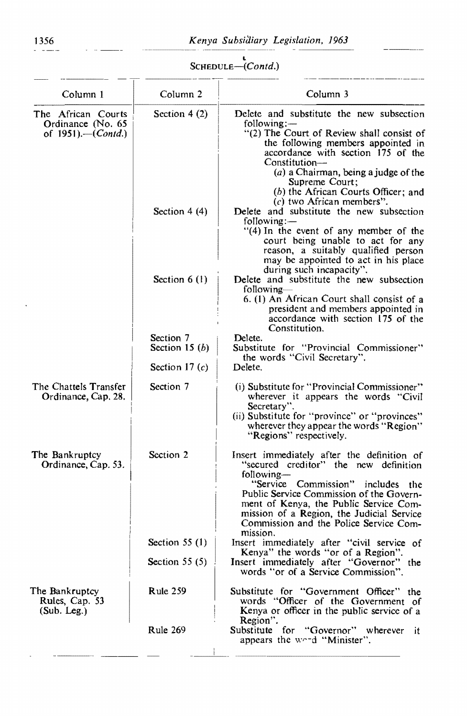## SCHEDULE-(Contd.)

| Column 1                                                                 | Column <sub>2</sub>                  | Column 3                                                                                                                                                                                                                                                                                                                           |
|--------------------------------------------------------------------------|--------------------------------------|------------------------------------------------------------------------------------------------------------------------------------------------------------------------------------------------------------------------------------------------------------------------------------------------------------------------------------|
| The African Courts<br>Ordinance (No. 65<br>of $1951$ .—( <i>Contd.</i> ) | Section $4(2)$                       | Delete and substitute the new subsection<br>following:—<br>"(2) The Court of Review shall consist of<br>the following members appointed in<br>accordance with section 175 of the<br>Constitution—<br>$(a)$ a Chairman, being a judge of the<br>Supreme Court;<br>(b) the African Courts Officer; and                               |
|                                                                          | Section $4(4)$                       | $(c)$ two African members".<br>Delete and substitute the new subsection<br>following:-<br>"(4) In the event of any member of the<br>court being unable to act for any<br>reason, a suitably qualified person<br>may be appointed to act in his place<br>during such incapacity".                                                   |
|                                                                          | Section $6(1)$                       | Delete and substitute the new subsection<br>following-<br>6. (1) An African Court shall consist of a<br>president and members appointed in<br>accordance with section 175 of the<br>Constitution.                                                                                                                                  |
|                                                                          | Section 7                            | Delete.                                                                                                                                                                                                                                                                                                                            |
|                                                                          | Section 15 $(b)$<br>Section 17 $(c)$ | Substitute for "Provincial Commissioner"<br>the words "Civil Secretary".<br>Delete.                                                                                                                                                                                                                                                |
|                                                                          |                                      |                                                                                                                                                                                                                                                                                                                                    |
| The Chattels Transfer<br>Ordinance, Cap. 28.                             | Section 7                            | (i) Substitute for "Provincial Commissioner"<br>wherever it appears the words "Civil<br>Secretary".<br>(ii) Substitute for "province" or "provinces"<br>wherever they appear the words "Region"<br>"Regions" respectively.                                                                                                         |
| The Bankruptcy<br>Ordinance, Cap. 53.                                    | Section 2                            | Insert immediately after the definition of<br>"secured creditor" the new definition<br>following-<br>"Service Commission"<br>includes the<br>Public Service Commission of the Govern-<br>ment of Kenya, the Public Service Com-<br>mission of a Region, the Judicial Service<br>Commission and the Police Service Com-<br>mission. |
|                                                                          | Section $55(1)$                      | Insert immediately after "civil service of                                                                                                                                                                                                                                                                                         |
|                                                                          | Section $55(5)$                      | Kenya" the words "or of a Region".<br>Insert immediately after "Governor" the<br>words "or of a Service Commission".                                                                                                                                                                                                               |
| The Bankruptcy<br>Rules, Cap. 53<br>(Sub. Leg.)                          | <b>Rule 259</b>                      | Substitute for "Government Officer" the<br>words "Officer of the Government of<br>Kenya or officer in the public service of a<br>Region".                                                                                                                                                                                          |
|                                                                          | Rule 269                             | Substitute for "Governor" wherever it<br>appears the word "Minister".                                                                                                                                                                                                                                                              |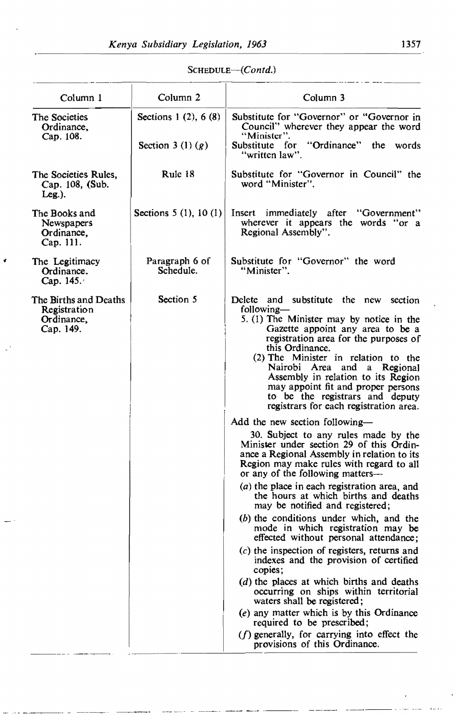é

| Column 1                                                         | Column <sub>2</sub>         | Column 3                                                                                                                                                                                                                                                                                                                    |
|------------------------------------------------------------------|-----------------------------|-----------------------------------------------------------------------------------------------------------------------------------------------------------------------------------------------------------------------------------------------------------------------------------------------------------------------------|
| The Societies<br>Ordinance,<br>Cap. 108.                         | Sections 1 (2), 6 (8)       | Substitute for "Governor" or "Governor in<br>Council" wherever they appear the word<br>"Minister".                                                                                                                                                                                                                          |
|                                                                  | Section 3 (1) $(g)$         | Substitute for "Ordinance"<br>the words<br>"written law".                                                                                                                                                                                                                                                                   |
| The Societies Rules,<br>Cap. 108, (Sub.<br>$Leg.$ ).             | Rule 18                     | Substitute for "Governor in Council" the<br>word "Minister".                                                                                                                                                                                                                                                                |
| The Books and<br>Newspapers<br>Ordinance,<br>Cap. 111.           | Sections $5(1)$ , $10(1)$   | Insert immediately after "Government"<br>wherever it appears the words "or a<br>Regional Assembly".                                                                                                                                                                                                                         |
| The Legitimacy<br>Ordinance.<br>Cap. $145.4$                     | Paragraph 6 of<br>Schedule. | Substitute for "Governor" the word<br>"Minister".                                                                                                                                                                                                                                                                           |
| The Births and Deaths<br>Registration<br>Ordinance,<br>Cap. 149. | Section 5                   | Delete and substitute the new section<br>following—<br>5. (1) The Minister may by notice in the                                                                                                                                                                                                                             |
|                                                                  |                             | Gazette appoint any area to be a<br>registration area for the purposes of<br>this Ordinance.<br>(2) The Minister in relation to the<br>Nairobi Area and a Regional<br>Assembly in relation to its Region<br>may appoint fit and proper persons<br>to be the registrars and deputy<br>registrars for each registration area. |
|                                                                  |                             | Add the new section following—                                                                                                                                                                                                                                                                                              |
|                                                                  |                             | 30. Subject to any rules made by the<br>Minister under section 29 of this Ordin-<br>ance a Regional Assembly in relation to its<br>Region may make rules with regard to all<br>or any of the following matters-                                                                                                             |
|                                                                  |                             | $(a)$ the place in each registration area, and<br>the hours at which births and deaths<br>may be notified and registered;                                                                                                                                                                                                   |
|                                                                  |                             | $(b)$ the conditions under which, and the<br>mode in which registration may be<br>effected without personal attendance;                                                                                                                                                                                                     |
|                                                                  |                             | $(c)$ the inspection of registers, returns and<br>indexes and the provision of certified<br>copies;                                                                                                                                                                                                                         |
|                                                                  |                             | (d) the places at which births and deaths<br>occurring on ships within territorial<br>waters shall be registered;                                                                                                                                                                                                           |
|                                                                  |                             | $(e)$ any matter which is by this Ordinance<br>required to be prescribed;                                                                                                                                                                                                                                                   |
|                                                                  |                             | $(f)$ generally, for carrying into effect the<br>provisions of this Ordinance.                                                                                                                                                                                                                                              |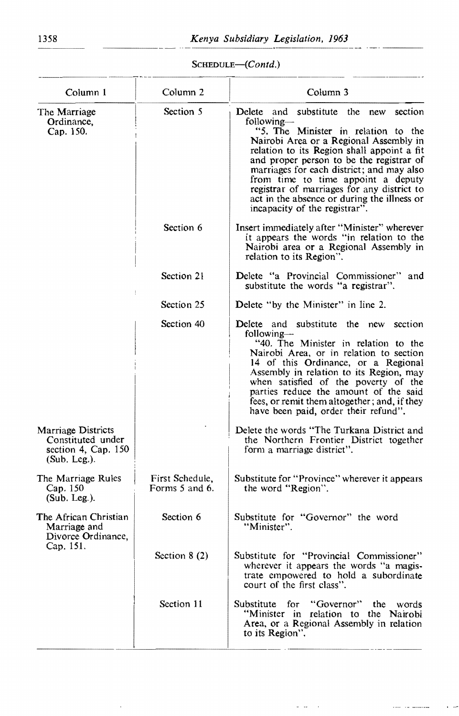SCHEDULE-(Contd.)

| Column 1                                                                          | Column <sub>2</sub>               | Column <sub>3</sub>                                                                                                                                                                                                                                                                                                                                                                                                                                   |
|-----------------------------------------------------------------------------------|-----------------------------------|-------------------------------------------------------------------------------------------------------------------------------------------------------------------------------------------------------------------------------------------------------------------------------------------------------------------------------------------------------------------------------------------------------------------------------------------------------|
| The Marriage<br>Ordinance,<br>Cap. 150.                                           | Section 5                         | section<br>Delete and substitute<br>the new<br>following—<br>"5. The Minister in relation to the<br>Nairobi Area or a Regional Assembly in<br>relation to its Region shall appoint a fit<br>and proper person to be the registrar of<br>marriages for each district; and may also<br>from time to time appoint a deputy<br>registrar of marriages for any district to<br>act in the absence or during the illness or<br>incapacity of the registrar". |
|                                                                                   | Section 6                         | Insert immediately after "Minister" wherever<br>it appears the words "in relation to the<br>Nairobi area or a Regional Assembly in<br>relation to its Region".                                                                                                                                                                                                                                                                                        |
|                                                                                   | Section 21                        | Delete "a Provincial Commissioner" and<br>substitute the words "a registrar".                                                                                                                                                                                                                                                                                                                                                                         |
|                                                                                   | Section 25                        | Delete "by the Minister" in line 2.                                                                                                                                                                                                                                                                                                                                                                                                                   |
|                                                                                   | Section 40                        | Delete and substitute the new section<br>following—<br>"40. The Minister in relation to the<br>Nairobi Area, or in relation to section<br>14 of this Ordinance, or a Regional<br>Assembly in relation to its Region, may<br>when satisfied of the poverty of the<br>parties reduce the amount of the said<br>fees, or remit them altogether; and, if they<br>have been paid, order their refund".                                                     |
| Marriage Districts<br>Constituted under<br>section 4, Cap. 150<br>$(Sub. Leg.)$ . |                                   | Delete the words "The Turkana District and<br>the Northern Frontier District together<br>form a marriage district".                                                                                                                                                                                                                                                                                                                                   |
| The Marriage Rules<br>Cap. 150<br>$(Sub. Leg.)$ .                                 | First Schedule,<br>Forms 5 and 6. | Substitute for "Province" wherever it appears<br>the word "Region".                                                                                                                                                                                                                                                                                                                                                                                   |
| The African Christian<br>Marriage and<br>Divorce Ordinance,<br>Cap. 151.          | Section 6                         | Substitute for "Governor" the word<br>"Minister".                                                                                                                                                                                                                                                                                                                                                                                                     |
|                                                                                   | Section $8(2)$                    | Substitute for "Provincial Commissioner"<br>wherever it appears the words "a magis-<br>trate empowered to hold a subordinate<br>court of the first class".                                                                                                                                                                                                                                                                                            |
|                                                                                   | Section 11                        | for<br>"Governor"<br>Substitute<br>the<br>words<br>"Minister in relation to the Nairobi<br>Area, or a Regional Assembly in relation<br>to its Region".                                                                                                                                                                                                                                                                                                |
|                                                                                   |                                   |                                                                                                                                                                                                                                                                                                                                                                                                                                                       |

 $\mathbb{Z}^{\mathbb{Z}}$  $\sim$   $\sim$  -  $-$ 

 $\bar{.}$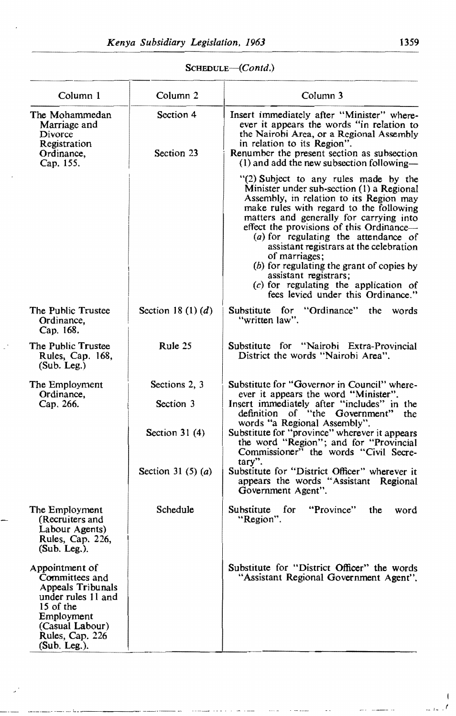| $S$ CHEDULE— $(Contd.)$ |  |
|-------------------------|--|
|-------------------------|--|

| Column 1                                                                                                                                                     | Column 2                                       | Column 3                                                                                                                                                                                                                                                                                                                                                                                                                                                                                                                   |
|--------------------------------------------------------------------------------------------------------------------------------------------------------------|------------------------------------------------|----------------------------------------------------------------------------------------------------------------------------------------------------------------------------------------------------------------------------------------------------------------------------------------------------------------------------------------------------------------------------------------------------------------------------------------------------------------------------------------------------------------------------|
| The Mohammedan<br>Marriage and<br>Divorce<br>Registration<br>Ordinance,<br>Cap. 155.                                                                         | Section 4<br>Section 23                        | Insert immediately after "Minister" where-<br>ever it appears the words "in relation to<br>the Nairobi Area, or a Regional Assembly<br>in relation to its Region".<br>Renumber the present section as subsection<br>$(1)$ and add the new subsection following—                                                                                                                                                                                                                                                            |
|                                                                                                                                                              |                                                | "(2) Subject to any rules made by the<br>Minister under sub-section (1) a Regional<br>Assembly, in relation to its Region may<br>make rules with regard to the following<br>matters and generally for carrying into<br>effect the provisions of this Ordinance-<br>(a) for regulating the attendance of<br>assistant registrars at the celebration<br>of marriages;<br>(b) for regulating the grant of copies by<br>assistant registrars;<br>$(c)$ for regulating the application of<br>fees levied under this Ordinance." |
| The Public Trustee<br>Ordinance,<br>Cap. 168.                                                                                                                | Section 18 (1) $(d)$                           | Substitute for "Ordinance" the words<br>"written law".                                                                                                                                                                                                                                                                                                                                                                                                                                                                     |
| The Public Trustee<br>Rules, Cap. 168,<br>(Sub. Leg.)                                                                                                        | Rule 25                                        | Substitute for "Nairobi Extra-Provincial<br>District the words "Nairobi Area".                                                                                                                                                                                                                                                                                                                                                                                                                                             |
| The Employment<br>Ordinance,<br>Cap. 266.                                                                                                                    | Sections 2, 3<br>Section 3<br>Section 31 $(4)$ | Substitute for "Governor in Council" where-<br>ever it appears the word "Minister".<br>Insert immediately after "includes" in the<br>definition of "the Government"<br>the<br>words "a Regional Assembly".<br>Substitute for "province" wherever it appears<br>the word "Region"; and for "Provincial                                                                                                                                                                                                                      |
|                                                                                                                                                              | Section 31 (5) $(a)$                           | Commissioner" the words "Civil Secre-<br>tary".<br>Substitute for "District Officer" wherever it<br>appears the words "Assistant Regional<br>Government Agent".                                                                                                                                                                                                                                                                                                                                                            |
| The Employment<br>(Recruiters and<br>Labour Agents)<br>Rules, Cap. 226,<br>$(Sub. Leg.)$ .                                                                   | Schedule                                       | for<br>"Province"<br>Substitute<br>the<br>word<br>"Region".                                                                                                                                                                                                                                                                                                                                                                                                                                                                |
| Appointment of<br>Committees and<br>Appeals Tribunals<br>under rules 11 and<br>15 of the<br>Employment<br>(Casual Labour)<br>Rules, Cap. 226<br>(Sub. Leg.). |                                                | Substitute for "District Officer" the words<br>"Assistant Regional Government Agent".                                                                                                                                                                                                                                                                                                                                                                                                                                      |

 $\sim$   $\sim$   $\sim$ 

 $\mathbf{I}$ *. t*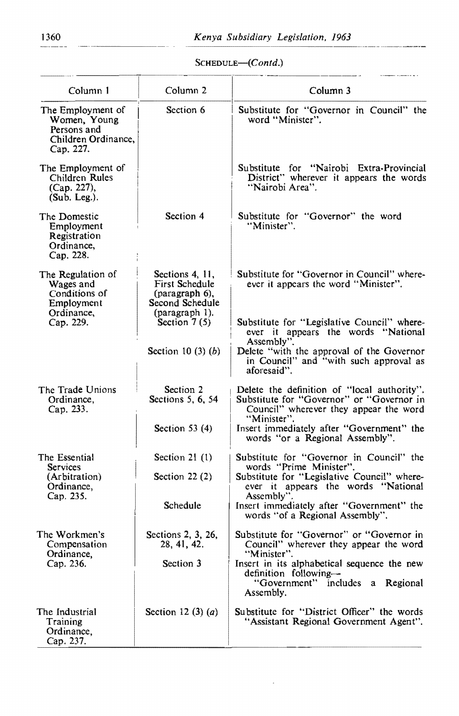$- -$ 

*SCHEDuLE-(Contd.)* 

| Column 1                                                                                 | Column <sub>2</sub>                                                                                        | Column 3                                                                                                                                                                                       |
|------------------------------------------------------------------------------------------|------------------------------------------------------------------------------------------------------------|------------------------------------------------------------------------------------------------------------------------------------------------------------------------------------------------|
| The Employment of<br>Women, Young<br>Persons and<br>Children Ordinance,<br>Cap. 227.     | Section 6                                                                                                  | Substitute for "Governor in Council" the<br>word "Minister".                                                                                                                                   |
| The Employment of<br>Children Rules<br>(Cap. 227),<br>(Sub. Leg.).                       |                                                                                                            | Substitute for "Nairobi Extra-Provincial<br>District" wherever it appears the words<br>"Nairobi Area".                                                                                         |
| The Domestic<br>Employment<br>Registration<br>Ordinance,<br>Cap. 228.                    | Section 4                                                                                                  | Substitute for "Governor" the word<br>"Minister".                                                                                                                                              |
| The Regulation of<br>Wages and<br>Conditions of<br>Employment<br>Ordinance,<br>Cap. 229. | Sections 4, 11,<br>First Schedule<br>(paragraph 6),<br>Second Schedule<br>(paragraph 1).<br>Section $7(5)$ | Substitute for "Governor in Council" where-<br>ever it appears the word "Minister".<br>Substitute for "Legislative Council" where-<br>ever it appears the words "National                      |
|                                                                                          | Section 10 $(3)$ $(b)$                                                                                     | Assembly".<br>Delete "with the approval of the Governor<br>in Council" and "with such approval as<br>aforesaid".                                                                               |
| The Trade Unions<br>Ordinance,<br>Cap. 233.                                              | Section 2<br>Sections 5, 6, 54<br>Section 53 $(4)$                                                         | Delete the definition of "local authority".<br>Substitute for "Governor" or "Governor in<br>Council" wherever they appear the word<br>"Minister".<br>Insert immediately after "Government" the |
|                                                                                          |                                                                                                            | words "or a Regional Assembly".                                                                                                                                                                |
| The Essential<br>Services                                                                | Section 21 $(1)$                                                                                           | Substitute for "Governor in Council" the<br>words "Prime Minister".                                                                                                                            |
| (Arbitration)<br>Ordinance,<br>Cap. 235.                                                 | Section $22(2)$                                                                                            | Substitute for "Legislative Council" where-<br>ever it appears the words "National                                                                                                             |
|                                                                                          | Schedule                                                                                                   | Assembly".<br>Insert immediately after "Government" the<br>words "of a Regional Assembly".                                                                                                     |
| The Workmen's<br>Compensation<br>Ordinance.<br>Cap. 236.                                 | Sections 2, 3, 26,<br>28, 41, 42.                                                                          | Substitute for "Governor" or "Governor in<br>Council" wherever they appear the word<br>"Minister".<br>Insert in its alphabetical sequence the new                                              |
|                                                                                          | Section 3                                                                                                  | definition following-<br>"Government" includes a Regional<br>Assembly.                                                                                                                         |
| The Industrial<br>Training<br>Ordinance,<br>Cap. 237.                                    | Section 12 (3) $(a)$                                                                                       | Substitute for "District Officer" the words<br>"Assistant Regional Government Agent".                                                                                                          |

ł,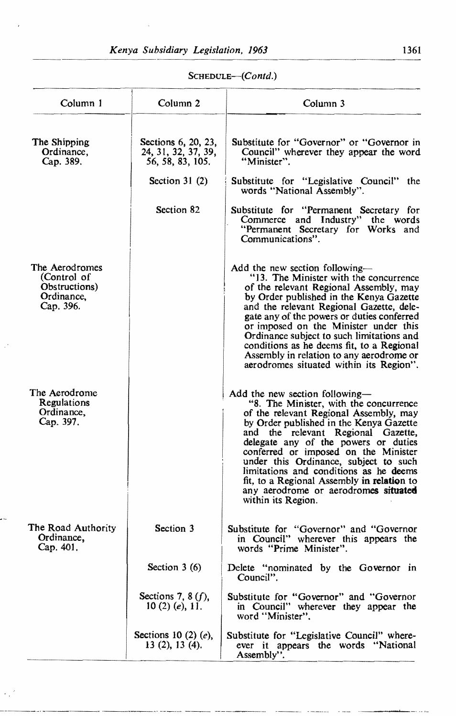| Column 1                                                                  | Column <sub>2</sub>                                            | Column 3                                                                                                                                                                                                                                                                                                                                                                                                                                                                           |
|---------------------------------------------------------------------------|----------------------------------------------------------------|------------------------------------------------------------------------------------------------------------------------------------------------------------------------------------------------------------------------------------------------------------------------------------------------------------------------------------------------------------------------------------------------------------------------------------------------------------------------------------|
| The Shipping<br>Ordinance,<br>Cap. 389.                                   | Sections 6, 20, 23,<br>24, 31, 32, 37, 39,<br>56, 58, 83, 105. | Substitute for "Governor" or "Governor in<br>Council" wherever they appear the word<br>"Minister".                                                                                                                                                                                                                                                                                                                                                                                 |
|                                                                           | Section $31(2)$                                                | Substitute for "Legislative Council" the<br>words "National Assembly".                                                                                                                                                                                                                                                                                                                                                                                                             |
|                                                                           | Section 82                                                     | Substitute for "Permanent Secretary for<br>Commerce and Industry" the words<br>"Permanent Secretary for Works and<br>Communications".                                                                                                                                                                                                                                                                                                                                              |
| The Aerodromes<br>(Control of<br>Obstructions)<br>Ordinance,<br>Cap. 396. |                                                                | Add the new section following-<br>"13. The Minister with the concurrence<br>of the relevant Regional Assembly, may<br>by Order published in the Kenya Gazette<br>and the relevant Regional Gazette, dele-<br>gate any of the powers or duties conferred<br>or imposed on the Minister under this<br>Ordinance subject to such limitations and<br>conditions as he deems fit, to a Regional<br>Assembly in relation to any aerodrome or<br>aerodromes situated within its Region".  |
| The Aerodrome<br>Regulations<br>Ordinance,<br>Cap. 397.                   |                                                                | Add the new section following-<br>"8. The Minister, with the concurrence<br>of the relevant Regional Assembly, may<br>by Order published in the Kenya Gazette<br>and the relevant Regional Gazette,<br>delegate any of the powers or duties<br>conferred or imposed on the Minister<br>under this Ordinance, subject to such<br>limitations and conditions as he deems<br>fit, to a Regional Assembly in relation to<br>any aerodrome or aerodromes situated<br>within its Region. |
| The Road Authority<br>Ordinance,<br>Cap. 401.                             | Section 3                                                      | Substitute for "Governor" and "Governor<br>in Council" wherever this appears the<br>words "Prime Minister".                                                                                                                                                                                                                                                                                                                                                                        |
|                                                                           | Section $3(6)$                                                 | Delete "nominated by the Governor in<br>Council".                                                                                                                                                                                                                                                                                                                                                                                                                                  |
|                                                                           | Sections 7, 8 $(f)$ ,<br>10 (2) (e), $11.$                     | Substitute for "Governor" and "Governor<br>in Council" wherever they appear the<br>word "Minister".                                                                                                                                                                                                                                                                                                                                                                                |
|                                                                           | Sections 10 $(2)$ $(e)$ ,<br>13 $(2)$ , 13 $(4)$ .             | Substitute for "Legislative Council" where-<br>ever it appears the words "National<br>Assembly".                                                                                                                                                                                                                                                                                                                                                                                   |

and the

*SCHEDULE-(Contd.)*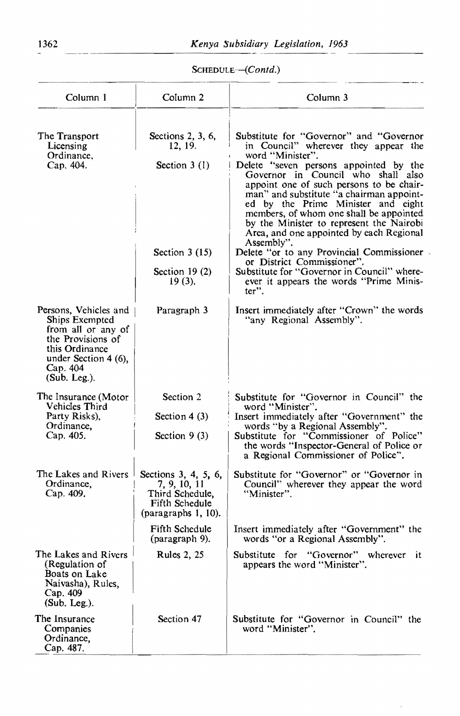SCHEDULE-(Contd.)

| Column 1                                                                                                                                                 | Column <sub>2</sub>                                                                              | Column 3                                                                                                                                                                                                                                                                                                                                                                                                                                                           |
|----------------------------------------------------------------------------------------------------------------------------------------------------------|--------------------------------------------------------------------------------------------------|--------------------------------------------------------------------------------------------------------------------------------------------------------------------------------------------------------------------------------------------------------------------------------------------------------------------------------------------------------------------------------------------------------------------------------------------------------------------|
| The Transport<br>Licensing<br>Ordinance,<br>Cap. 404.                                                                                                    | Sections 2, 3, 6,<br>12, 19.<br>Section $3(1)$                                                   | Substitute for "Governor" and "Governor<br>in Council" wherever they appear the<br>word "Minister".<br>Delete "seven persons appointed by the<br>Governor in Council who shall also<br>appoint one of such persons to be chair-<br>man" and substitute "a chairman appoint-<br>ed by the Prime Minister and eight<br>members, of whom one shall be appointed<br>by the Minister to represent the Nairobi<br>Area, and one appointed by each Regional<br>Assembly". |
|                                                                                                                                                          | Section $3(15)$<br>Section $19(2)$<br>$19(3)$ .                                                  | Delete "or to any Provincial Commissioner<br>or District Commissioner".<br>Substitute for "Governor in Council" where-<br>ever it appears the words "Prime Minis-<br>ter".                                                                                                                                                                                                                                                                                         |
| Persons, Vehicles and<br>Ships Exempted<br>from all or any of<br>the Provisions of<br>this Ordinance<br>under Section 4 (6),<br>Cap. 404<br>(Sub. Leg.). | Paragraph 3                                                                                      | Insert immediately after "Crown" the words<br>"any Regional Assembly".                                                                                                                                                                                                                                                                                                                                                                                             |
| The Insurance (Motor<br>Vehicles Third<br>Party Risks),<br>Ordinance,<br>Cap. 405.                                                                       | Section 2<br>Section 4 $(3)$<br>Section $9(3)$                                                   | Substitute for "Governor in Council" the<br>word "Minister".<br>Insert immediately after "Government" the<br>words "by a Regional Assembly".<br>Substitute for "Commissioner of Police"<br>the words "Inspector-General of Police or<br>a Regional Commissioner of Police".                                                                                                                                                                                        |
| The Lakes and Rivers<br>Ordinance,<br>Cap. 409.                                                                                                          | Sections 3, 4, 5, 6,<br>7, 9, 10, 11<br>Third Schedule,<br>Fifth Schedule<br>(paragraphs 1, 10). | Substitute for "Governor" or "Governor in<br>Council" wherever they appear the word<br>"Minister".                                                                                                                                                                                                                                                                                                                                                                 |
|                                                                                                                                                          | Fifth Schedule<br>(paragraph 9).                                                                 | Insert immediately after "Government" the<br>words "or a Regional Assembly".                                                                                                                                                                                                                                                                                                                                                                                       |
| The Lakes and Rivers<br>(Regulation of<br>Boats on Lake<br>Naivasha), Rules,<br>Cap. 409<br>$(Sub. Leg.)$ .                                              | <b>Rules 2, 25</b>                                                                               | Substitute for "Governor" wherever<br>it.<br>appears the word "Minister".                                                                                                                                                                                                                                                                                                                                                                                          |
| The Insurance<br>Companies<br>Ordinance,<br>Cap. 487.                                                                                                    | Section 47                                                                                       | Substitute for "Governor in Council" the<br>word "Minister".                                                                                                                                                                                                                                                                                                                                                                                                       |

 $\overline{\phantom{a}}$